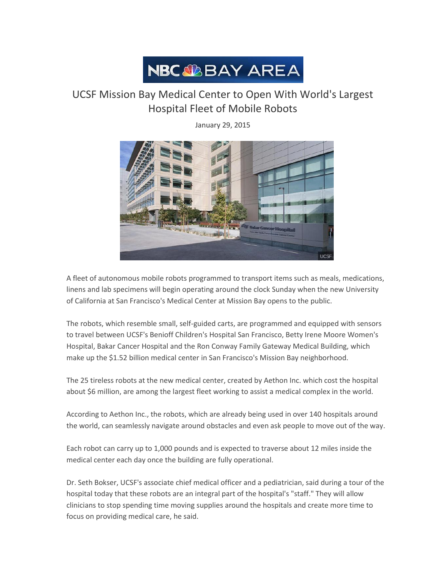

## UCSF Mission Bay Medical Center to Open With World's Largest Hospital Fleet of Mobile Robots

January 29, 2015



A fleet of autonomous mobile robots programmed to transport items such as meals, medications, linens and lab specimens will begin operating around the clock Sunday when the new University of California at San Francisco's Medical Center at Mission Bay opens to the public.

The robots, which resemble small, self-guided carts, are programmed and equipped with sensors to travel between UCSF's Benioff Children's Hospital San Francisco, Betty Irene Moore Women's Hospital, Bakar Cancer Hospital and the Ron Conway Family Gateway Medical Building, which make up the \$1.52 billion medical center in San Francisco's Mission Bay neighborhood.

The 25 tireless robots at the new medical center, created by Aethon Inc. which cost the hospital about \$6 million, are among the largest fleet working to assist a medical complex in the world.

According to Aethon Inc., the robots, which are already being used in over 140 hospitals around the world, can seamlessly navigate around obstacles and even ask people to move out of the way.

Each robot can carry up to 1,000 pounds and is expected to traverse about 12 miles inside the medical center each day once the building are fully operational.

Dr. Seth Bokser, UCSF's associate chief medical officer and a pediatrician, said during a tour of the hospital today that these robots are an integral part of the hospital's "staff." They will allow clinicians to stop spending time moving supplies around the hospitals and create more time to focus on providing medical care, he said.